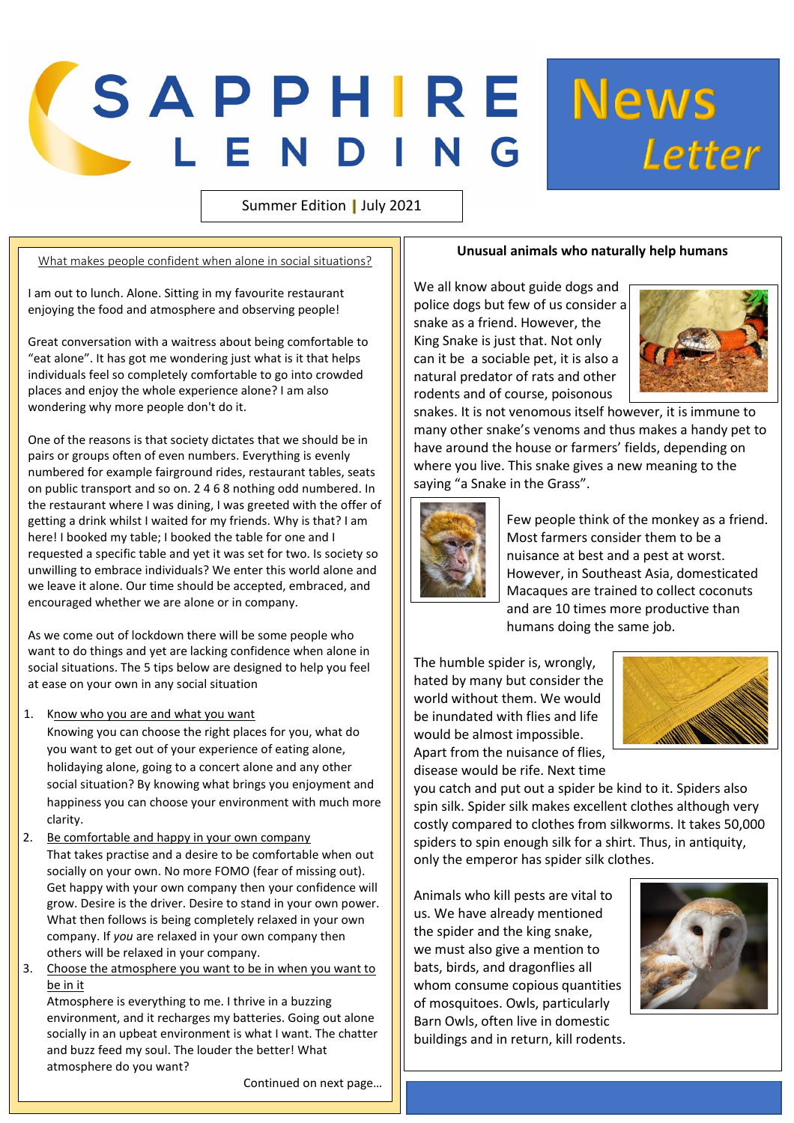## SAPPHIRE News

Summer Edition | July 2021

What makes people confident when alone in social situations?

I am out to lunch. Alone. Sitting in my favourite restaurant enjoying the food and atmosphere and observing people!

Great conversation with a waitress about being comfortable to "eat alone". It has got me wondering just what is it that helps individuals feel so completely comfortable to go into crowded places and enjoy the whole experience alone? I am also wondering why more people don't do it.

One of the reasons is that society dictates that we should be in pairs or groups often of even numbers. Everything is evenly numbered for example fairground rides, restaurant tables, seats on public transport and so on. 2 4 6 8 nothing odd numbered. In the restaurant where I was dining, I was greeted with the offer of getting a drink whilst I waited for my friends. Why is that? I am here! I booked my table; I booked the table for one and I requested a specific table and yet it was set for two. Is society so unwilling to embrace individuals? We enter this world alone and we leave it alone. Our time should be accepted, embraced, and encouraged whether we are alone or in company.

As we come out of lockdown there will be some people who want to do things and yet are lacking confidence when alone in social situations. The 5 tips below are designed to help you feel at ease on your own in any social situation

1. Know who you are and what you want

Knowing you can choose the right places for you, what do you want to get out of your experience of eating alone, holidaying alone, going to a concert alone and any other social situation? By knowing what brings you enjoyment and happiness you can choose your environment with much more clarity.

- 2. Be comfortable and happy in your own company That takes practise and a desire to be comfortable when out socially on your own. No more FOMO (fear of missing out). Get happy with your own company then your confidence will grow. Desire is the driver. Desire to stand in your own power. What then follows is being completely relaxed in your own company. If *you* are relaxed in your own company then others will be relaxed in your company.
- 3. Choose the atmosphere you want to be in when you want to be in it

Atmosphere is everything to me. I thrive in a buzzing environment, and it recharges my batteries. Going out alone socially in an upbeat environment is what I want. The chatter and buzz feed my soul. The louder the better! What atmosphere do you want?

Continued on next page…

## **Unusual animals who naturally help humans**

We all know about guide dogs and police dogs but few of us consider a snake as a friend. However, the King Snake is just that. Not only can it be a sociable pet, it is also a natural predator of rats and other rodents and of course, poisonous



Letter

snakes. It is not venomous itself however, it is immune to many other snake's venoms and thus makes a handy pet to have around the house or farmers' fields, depending on where you live. This snake gives a new meaning to the saying "a Snake in the Grass".



 Few people think of the monkey as a friend. Most farmers consider them to be a nuisance at best and a pest at worst. However, in Southeast Asia, domesticated Macaques are trained to collect coconuts and are 10 times more productive than humans doing the same job.

The humble spider is, wrongly, hated by many but consider the world without them. We would be inundated with flies and life would be almost impossible. Apart from the nuisance of flies, disease would be rife. Next time



you catch and put out a spider be kind to it. Spiders also spin silk. Spider silk makes excellent clothes although very costly compared to clothes from silkworms. It takes 50,000 spiders to spin enough silk for a shirt. Thus, in antiquity, only the emperor has spider silk clothes.

Animals who kill pests are vital to us. We have already mentioned the spider and the king snake, we must also give a mention to bats, birds, and dragonflies all whom consume copious quantities of mosquitoes. Owls, particularly Barn Owls, often live in domestic buildings and in return, kill rodents.